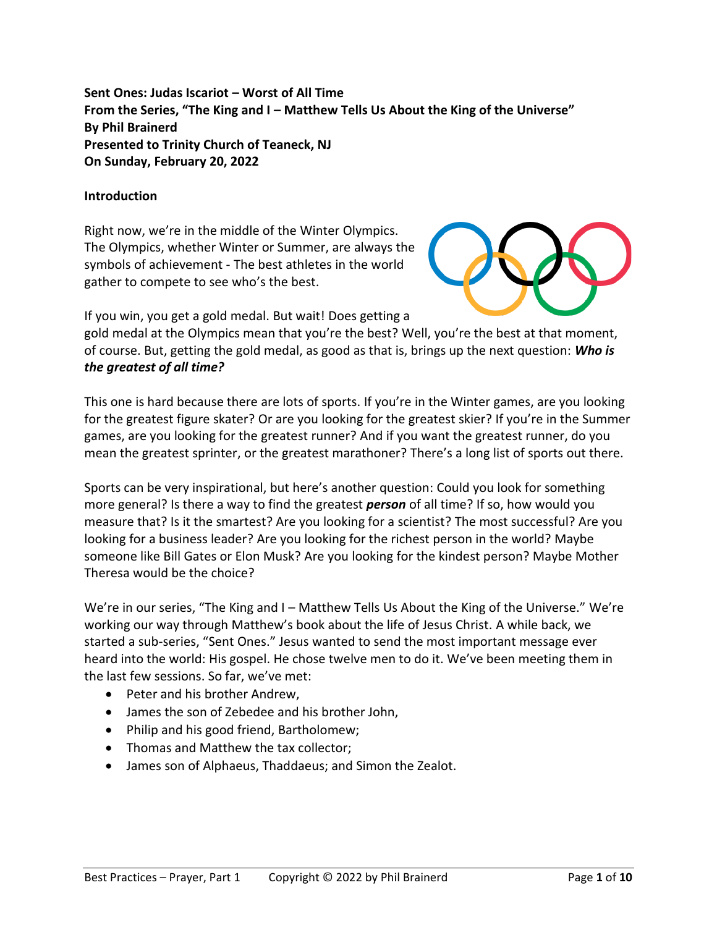**Sent Ones: Judas Iscariot – Worst of All Time From the Series, "The King and I – Matthew Tells Us About the King of the Universe" By Phil Brainerd Presented to Trinity Church of Teaneck, NJ On Sunday, February 20, 2022**

### **Introduction**

Right now, we're in the middle of the Winter Olympics. The Olympics, whether Winter or Summer, are always the symbols of achievement - The best athletes in the world gather to compete to see who's the best.



If you win, you get a gold medal. But wait! Does getting a

gold medal at the Olympics mean that you're the best? Well, you're the best at that moment, of course. But, getting the gold medal, as good as that is, brings up the next question: *Who is the greatest of all time?*

This one is hard because there are lots of sports. If you're in the Winter games, are you looking for the greatest figure skater? Or are you looking for the greatest skier? If you're in the Summer games, are you looking for the greatest runner? And if you want the greatest runner, do you mean the greatest sprinter, or the greatest marathoner? There's a long list of sports out there.

Sports can be very inspirational, but here's another question: Could you look for something more general? Is there a way to find the greatest *person* of all time? If so, how would you measure that? Is it the smartest? Are you looking for a scientist? The most successful? Are you looking for a business leader? Are you looking for the richest person in the world? Maybe someone like Bill Gates or Elon Musk? Are you looking for the kindest person? Maybe Mother Theresa would be the choice?

We're in our series, "The King and I – Matthew Tells Us About the King of the Universe." We're working our way through Matthew's book about the life of Jesus Christ. A while back, we started a sub-series, "Sent Ones." Jesus wanted to send the most important message ever heard into the world: His gospel. He chose twelve men to do it. We've been meeting them in the last few sessions. So far, we've met:

- Peter and his brother Andrew,
- James the son of Zebedee and his brother John,
- Philip and his good friend, Bartholomew;
- Thomas and Matthew the tax collector;
- James son of Alphaeus, Thaddaeus; and Simon the Zealot.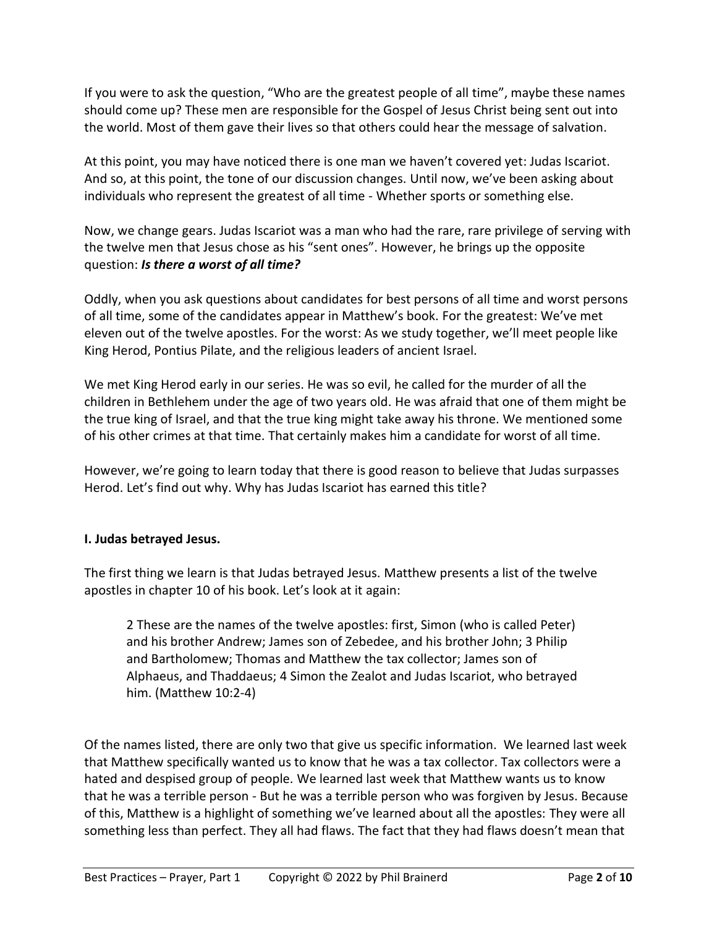If you were to ask the question, "Who are the greatest people of all time", maybe these names should come up? These men are responsible for the Gospel of Jesus Christ being sent out into the world. Most of them gave their lives so that others could hear the message of salvation.

At this point, you may have noticed there is one man we haven't covered yet: Judas Iscariot. And so, at this point, the tone of our discussion changes. Until now, we've been asking about individuals who represent the greatest of all time - Whether sports or something else.

Now, we change gears. Judas Iscariot was a man who had the rare, rare privilege of serving with the twelve men that Jesus chose as his "sent ones". However, he brings up the opposite question: *Is there a worst of all time?*

Oddly, when you ask questions about candidates for best persons of all time and worst persons of all time, some of the candidates appear in Matthew's book. For the greatest: We've met eleven out of the twelve apostles. For the worst: As we study together, we'll meet people like King Herod, Pontius Pilate, and the religious leaders of ancient Israel.

We met King Herod early in our series. He was so evil, he called for the murder of all the children in Bethlehem under the age of two years old. He was afraid that one of them might be the true king of Israel, and that the true king might take away his throne. We mentioned some of his other crimes at that time. That certainly makes him a candidate for worst of all time.

However, we're going to learn today that there is good reason to believe that Judas surpasses Herod. Let's find out why. Why has Judas Iscariot has earned this title?

# **I. Judas betrayed Jesus.**

The first thing we learn is that Judas betrayed Jesus. Matthew presents a list of the twelve apostles in chapter 10 of his book. Let's look at it again:

2 These are the names of the twelve apostles: first, Simon (who is called Peter) and his brother Andrew; James son of Zebedee, and his brother John; 3 Philip and Bartholomew; Thomas and Matthew the tax collector; James son of Alphaeus, and Thaddaeus; 4 Simon the Zealot and Judas Iscariot, who betrayed him. (Matthew 10:2-4)

Of the names listed, there are only two that give us specific information. We learned last week that Matthew specifically wanted us to know that he was a tax collector. Tax collectors were a hated and despised group of people. We learned last week that Matthew wants us to know that he was a terrible person - But he was a terrible person who was forgiven by Jesus. Because of this, Matthew is a highlight of something we've learned about all the apostles: They were all something less than perfect. They all had flaws. The fact that they had flaws doesn't mean that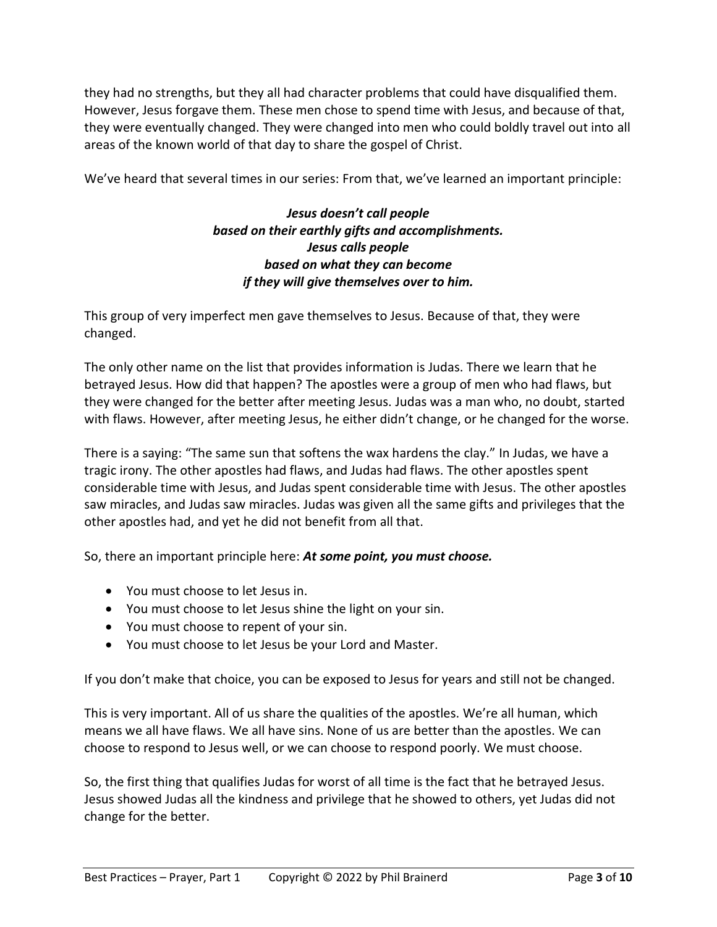they had no strengths, but they all had character problems that could have disqualified them. However, Jesus forgave them. These men chose to spend time with Jesus, and because of that, they were eventually changed. They were changed into men who could boldly travel out into all areas of the known world of that day to share the gospel of Christ.

We've heard that several times in our series: From that, we've learned an important principle:

# *Jesus doesn't call people based on their earthly gifts and accomplishments. Jesus calls people based on what they can become if they will give themselves over to him.*

This group of very imperfect men gave themselves to Jesus. Because of that, they were changed.

The only other name on the list that provides information is Judas. There we learn that he betrayed Jesus. How did that happen? The apostles were a group of men who had flaws, but they were changed for the better after meeting Jesus. Judas was a man who, no doubt, started with flaws. However, after meeting Jesus, he either didn't change, or he changed for the worse.

There is a saying: "The same sun that softens the wax hardens the clay." In Judas, we have a tragic irony. The other apostles had flaws, and Judas had flaws. The other apostles spent considerable time with Jesus, and Judas spent considerable time with Jesus. The other apostles saw miracles, and Judas saw miracles. Judas was given all the same gifts and privileges that the other apostles had, and yet he did not benefit from all that.

So, there an important principle here: *At some point, you must choose.*

- You must choose to let Jesus in.
- You must choose to let Jesus shine the light on your sin.
- You must choose to repent of your sin.
- You must choose to let Jesus be your Lord and Master.

If you don't make that choice, you can be exposed to Jesus for years and still not be changed.

This is very important. All of us share the qualities of the apostles. We're all human, which means we all have flaws. We all have sins. None of us are better than the apostles. We can choose to respond to Jesus well, or we can choose to respond poorly. We must choose.

So, the first thing that qualifies Judas for worst of all time is the fact that he betrayed Jesus. Jesus showed Judas all the kindness and privilege that he showed to others, yet Judas did not change for the better.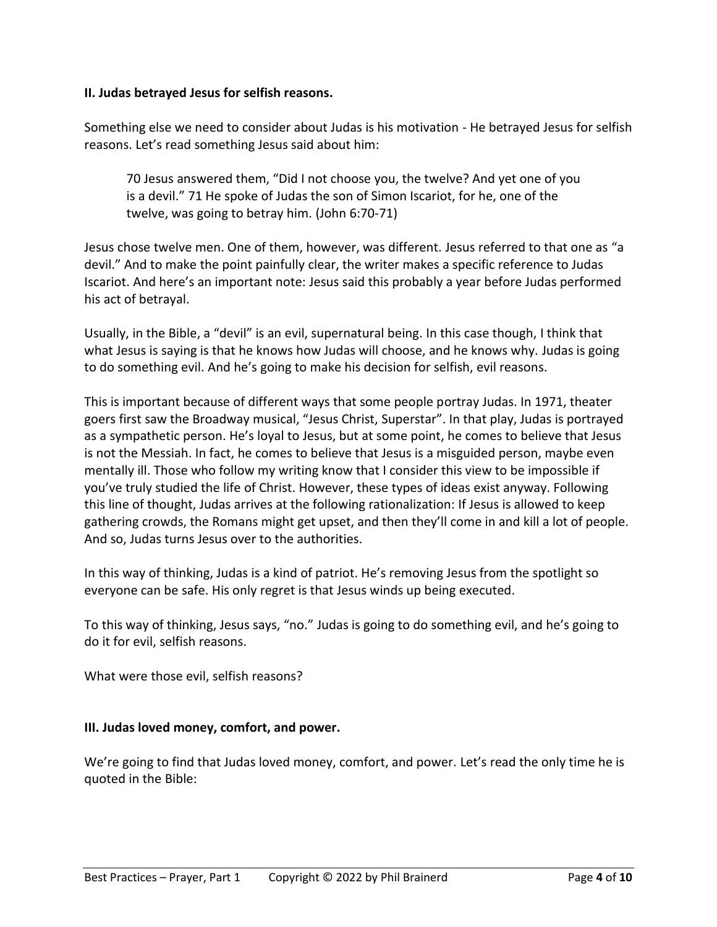### **II. Judas betrayed Jesus for selfish reasons.**

Something else we need to consider about Judas is his motivation - He betrayed Jesus for selfish reasons. Let's read something Jesus said about him:

70 Jesus answered them, "Did I not choose you, the twelve? And yet one of you is a devil." 71 He spoke of Judas the son of Simon Iscariot, for he, one of the twelve, was going to betray him. (John 6:70-71)

Jesus chose twelve men. One of them, however, was different. Jesus referred to that one as "a devil." And to make the point painfully clear, the writer makes a specific reference to Judas Iscariot. And here's an important note: Jesus said this probably a year before Judas performed his act of betrayal.

Usually, in the Bible, a "devil" is an evil, supernatural being. In this case though, I think that what Jesus is saying is that he knows how Judas will choose, and he knows why. Judas is going to do something evil. And he's going to make his decision for selfish, evil reasons.

This is important because of different ways that some people portray Judas. In 1971, theater goers first saw the Broadway musical, "Jesus Christ, Superstar". In that play, Judas is portrayed as a sympathetic person. He's loyal to Jesus, but at some point, he comes to believe that Jesus is not the Messiah. In fact, he comes to believe that Jesus is a misguided person, maybe even mentally ill. Those who follow my writing know that I consider this view to be impossible if you've truly studied the life of Christ. However, these types of ideas exist anyway. Following this line of thought, Judas arrives at the following rationalization: If Jesus is allowed to keep gathering crowds, the Romans might get upset, and then they'll come in and kill a lot of people. And so, Judas turns Jesus over to the authorities.

In this way of thinking, Judas is a kind of patriot. He's removing Jesus from the spotlight so everyone can be safe. His only regret is that Jesus winds up being executed.

To this way of thinking, Jesus says, "no." Judas is going to do something evil, and he's going to do it for evil, selfish reasons.

What were those evil, selfish reasons?

## **III. Judas loved money, comfort, and power.**

We're going to find that Judas loved money, comfort, and power. Let's read the only time he is quoted in the Bible: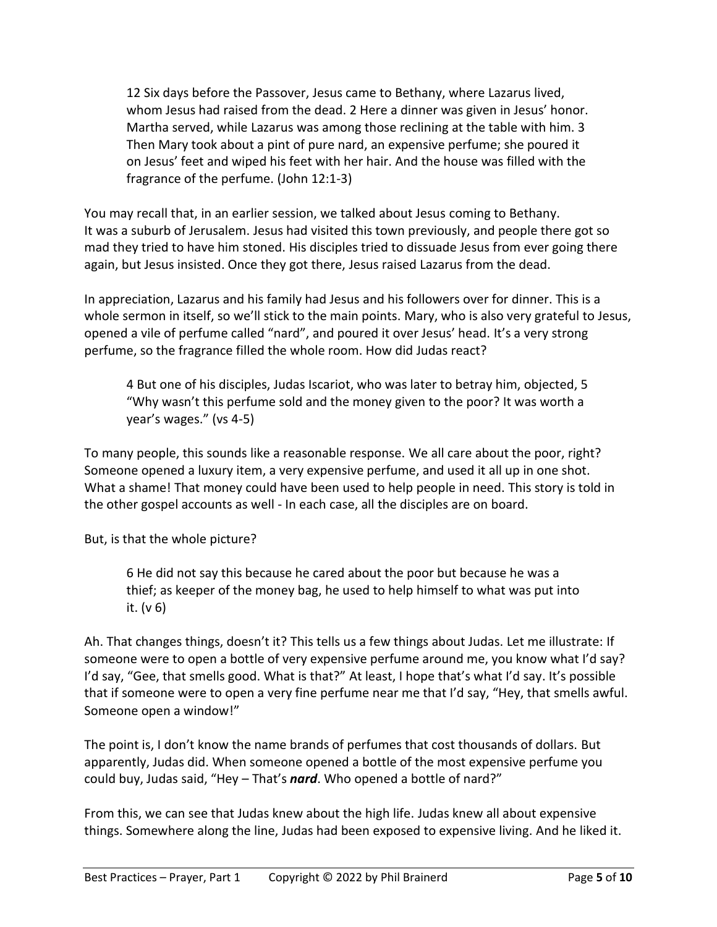12 Six days before the Passover, Jesus came to Bethany, where Lazarus lived, whom Jesus had raised from the dead. 2 Here a dinner was given in Jesus' honor. Martha served, while Lazarus was among those reclining at the table with him. 3 Then Mary took about a pint of pure nard, an expensive perfume; she poured it on Jesus' feet and wiped his feet with her hair. And the house was filled with the fragrance of the perfume. (John 12:1-3)

You may recall that, in an earlier session, we talked about Jesus coming to Bethany. It was a suburb of Jerusalem. Jesus had visited this town previously, and people there got so mad they tried to have him stoned. His disciples tried to dissuade Jesus from ever going there again, but Jesus insisted. Once they got there, Jesus raised Lazarus from the dead.

In appreciation, Lazarus and his family had Jesus and his followers over for dinner. This is a whole sermon in itself, so we'll stick to the main points. Mary, who is also very grateful to Jesus, opened a vile of perfume called "nard", and poured it over Jesus' head. It's a very strong perfume, so the fragrance filled the whole room. How did Judas react?

4 But one of his disciples, Judas Iscariot, who was later to betray him, objected, 5 "Why wasn't this perfume sold and the money given to the poor? It was worth a year's wages." (vs 4-5)

To many people, this sounds like a reasonable response. We all care about the poor, right? Someone opened a luxury item, a very expensive perfume, and used it all up in one shot. What a shame! That money could have been used to help people in need. This story is told in the other gospel accounts as well - In each case, all the disciples are on board.

But, is that the whole picture?

6 He did not say this because he cared about the poor but because he was a thief; as keeper of the money bag, he used to help himself to what was put into it. (v 6)

Ah. That changes things, doesn't it? This tells us a few things about Judas. Let me illustrate: If someone were to open a bottle of very expensive perfume around me, you know what I'd say? I'd say, "Gee, that smells good. What is that?" At least, I hope that's what I'd say. It's possible that if someone were to open a very fine perfume near me that I'd say, "Hey, that smells awful. Someone open a window!"

The point is, I don't know the name brands of perfumes that cost thousands of dollars. But apparently, Judas did. When someone opened a bottle of the most expensive perfume you could buy, Judas said, "Hey – That's *nard*. Who opened a bottle of nard?"

From this, we can see that Judas knew about the high life. Judas knew all about expensive things. Somewhere along the line, Judas had been exposed to expensive living. And he liked it.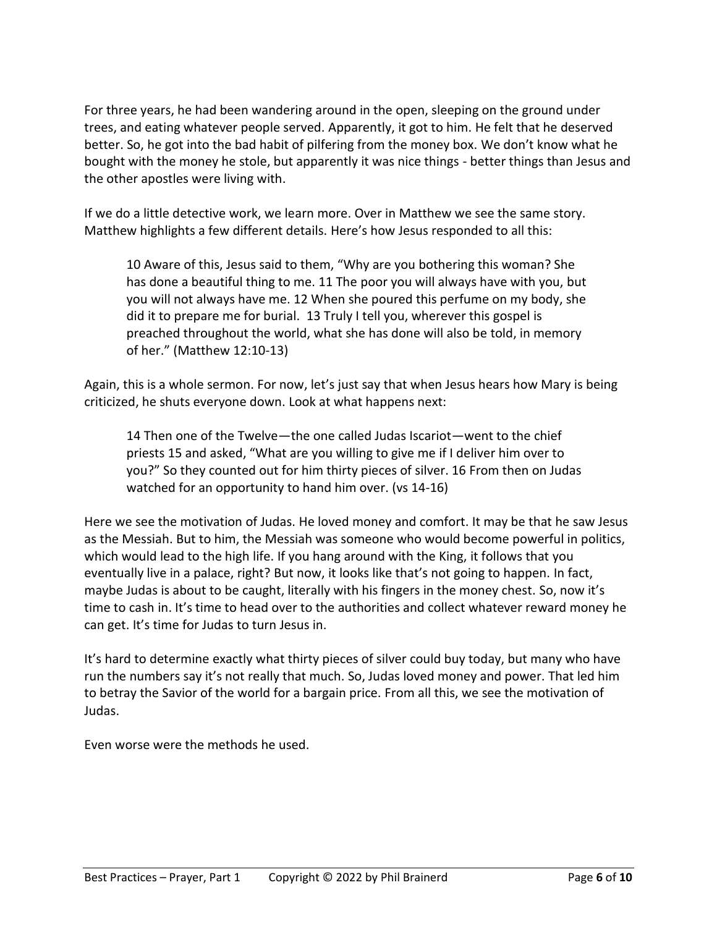For three years, he had been wandering around in the open, sleeping on the ground under trees, and eating whatever people served. Apparently, it got to him. He felt that he deserved better. So, he got into the bad habit of pilfering from the money box. We don't know what he bought with the money he stole, but apparently it was nice things - better things than Jesus and the other apostles were living with.

If we do a little detective work, we learn more. Over in Matthew we see the same story. Matthew highlights a few different details. Here's how Jesus responded to all this:

10 Aware of this, Jesus said to them, "Why are you bothering this woman? She has done a beautiful thing to me. 11 The poor you will always have with you, but you will not always have me. 12 When she poured this perfume on my body, she did it to prepare me for burial. 13 Truly I tell you, wherever this gospel is preached throughout the world, what she has done will also be told, in memory of her." (Matthew 12:10-13)

Again, this is a whole sermon. For now, let's just say that when Jesus hears how Mary is being criticized, he shuts everyone down. Look at what happens next:

14 Then one of the Twelve—the one called Judas Iscariot—went to the chief priests 15 and asked, "What are you willing to give me if I deliver him over to you?" So they counted out for him thirty pieces of silver. 16 From then on Judas watched for an opportunity to hand him over. (vs 14-16)

Here we see the motivation of Judas. He loved money and comfort. It may be that he saw Jesus as the Messiah. But to him, the Messiah was someone who would become powerful in politics, which would lead to the high life. If you hang around with the King, it follows that you eventually live in a palace, right? But now, it looks like that's not going to happen. In fact, maybe Judas is about to be caught, literally with his fingers in the money chest. So, now it's time to cash in. It's time to head over to the authorities and collect whatever reward money he can get. It's time for Judas to turn Jesus in.

It's hard to determine exactly what thirty pieces of silver could buy today, but many who have run the numbers say it's not really that much. So, Judas loved money and power. That led him to betray the Savior of the world for a bargain price. From all this, we see the motivation of Judas.

Even worse were the methods he used.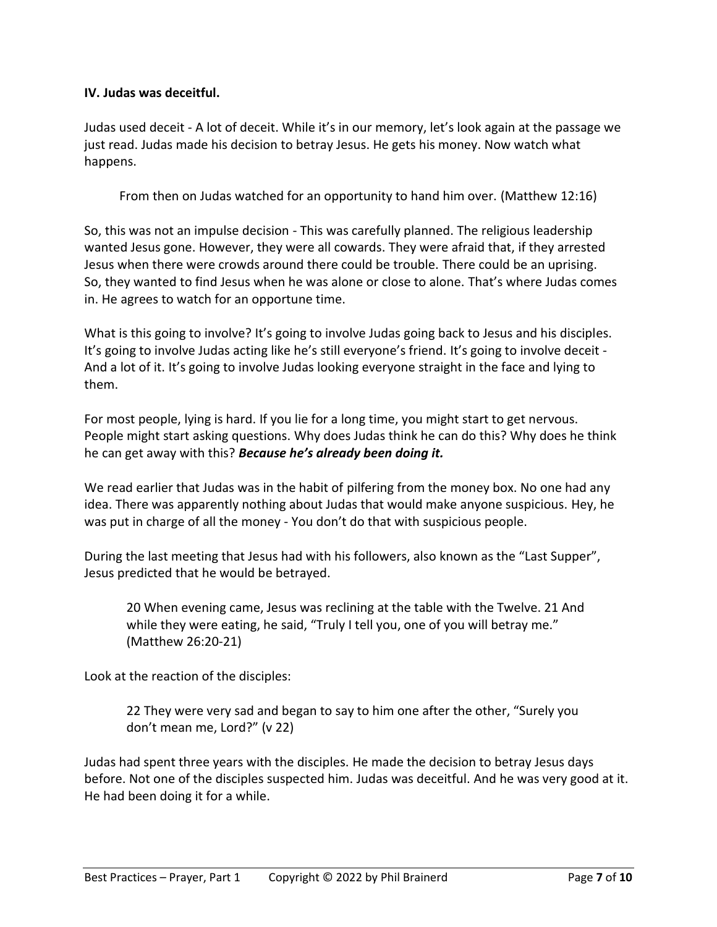## **IV. Judas was deceitful.**

Judas used deceit - A lot of deceit. While it's in our memory, let's look again at the passage we just read. Judas made his decision to betray Jesus. He gets his money. Now watch what happens.

From then on Judas watched for an opportunity to hand him over. (Matthew 12:16)

So, this was not an impulse decision - This was carefully planned. The religious leadership wanted Jesus gone. However, they were all cowards. They were afraid that, if they arrested Jesus when there were crowds around there could be trouble. There could be an uprising. So, they wanted to find Jesus when he was alone or close to alone. That's where Judas comes in. He agrees to watch for an opportune time.

What is this going to involve? It's going to involve Judas going back to Jesus and his disciples. It's going to involve Judas acting like he's still everyone's friend. It's going to involve deceit - And a lot of it. It's going to involve Judas looking everyone straight in the face and lying to them.

For most people, lying is hard. If you lie for a long time, you might start to get nervous. People might start asking questions. Why does Judas think he can do this? Why does he think he can get away with this? *Because he's already been doing it.*

We read earlier that Judas was in the habit of pilfering from the money box. No one had any idea. There was apparently nothing about Judas that would make anyone suspicious. Hey, he was put in charge of all the money - You don't do that with suspicious people.

During the last meeting that Jesus had with his followers, also known as the "Last Supper", Jesus predicted that he would be betrayed.

20 When evening came, Jesus was reclining at the table with the Twelve. 21 And while they were eating, he said, "Truly I tell you, one of you will betray me." (Matthew 26:20-21)

Look at the reaction of the disciples:

22 They were very sad and began to say to him one after the other, "Surely you don't mean me, Lord?" (v 22)

Judas had spent three years with the disciples. He made the decision to betray Jesus days before. Not one of the disciples suspected him. Judas was deceitful. And he was very good at it. He had been doing it for a while.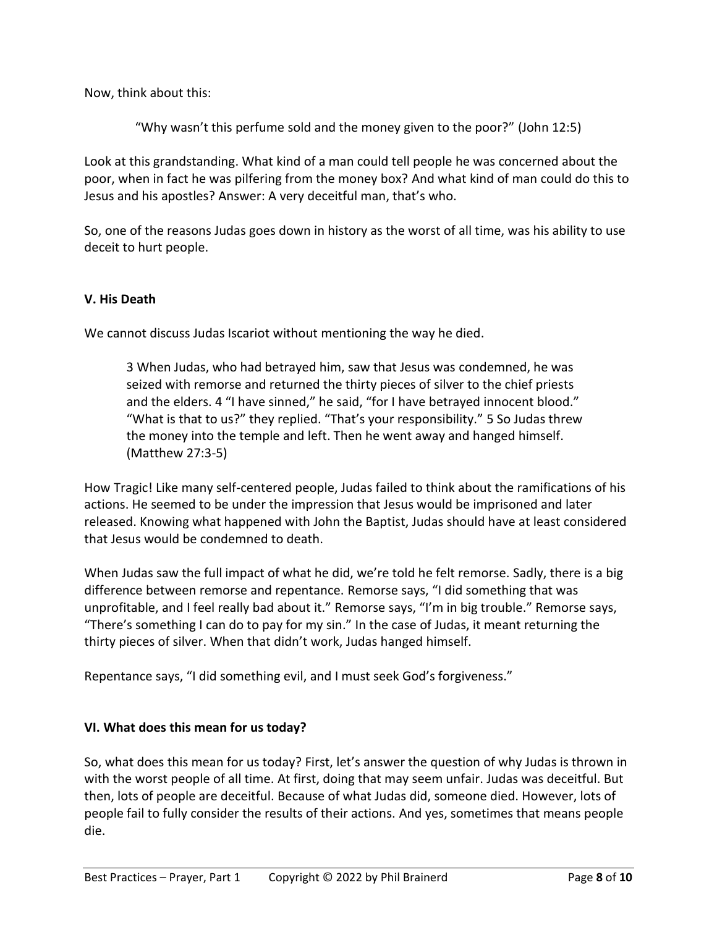Now, think about this:

"Why wasn't this perfume sold and the money given to the poor?" (John 12:5)

Look at this grandstanding. What kind of a man could tell people he was concerned about the poor, when in fact he was pilfering from the money box? And what kind of man could do this to Jesus and his apostles? Answer: A very deceitful man, that's who.

So, one of the reasons Judas goes down in history as the worst of all time, was his ability to use deceit to hurt people.

### **V. His Death**

We cannot discuss Judas Iscariot without mentioning the way he died.

3 When Judas, who had betrayed him, saw that Jesus was condemned, he was seized with remorse and returned the thirty pieces of silver to the chief priests and the elders. 4 "I have sinned," he said, "for I have betrayed innocent blood." "What is that to us?" they replied. "That's your responsibility." 5 So Judas threw the money into the temple and left. Then he went away and hanged himself. (Matthew 27:3-5)

How Tragic! Like many self-centered people, Judas failed to think about the ramifications of his actions. He seemed to be under the impression that Jesus would be imprisoned and later released. Knowing what happened with John the Baptist, Judas should have at least considered that Jesus would be condemned to death.

When Judas saw the full impact of what he did, we're told he felt remorse. Sadly, there is a big difference between remorse and repentance. Remorse says, "I did something that was unprofitable, and I feel really bad about it." Remorse says, "I'm in big trouble." Remorse says, "There's something I can do to pay for my sin." In the case of Judas, it meant returning the thirty pieces of silver. When that didn't work, Judas hanged himself.

Repentance says, "I did something evil, and I must seek God's forgiveness."

#### **VI. What does this mean for us today?**

So, what does this mean for us today? First, let's answer the question of why Judas is thrown in with the worst people of all time. At first, doing that may seem unfair. Judas was deceitful. But then, lots of people are deceitful. Because of what Judas did, someone died. However, lots of people fail to fully consider the results of their actions. And yes, sometimes that means people die.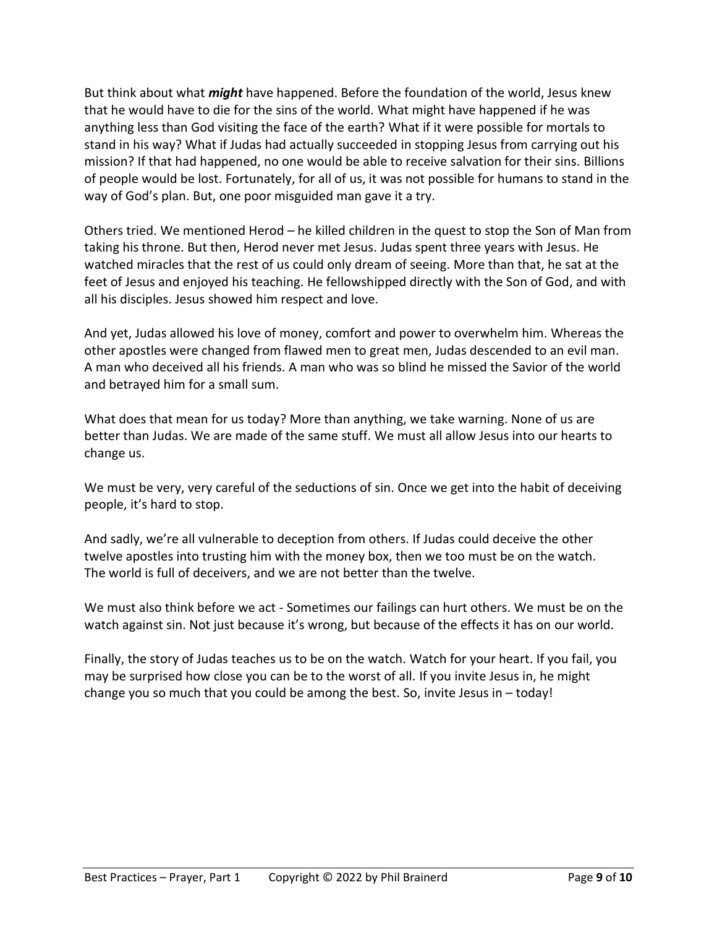But think about what *might* have happened. Before the foundation of the world, Jesus knew that he would have to die for the sins of the world. What might have happened if he was anything less than God visiting the face of the earth? What if it were possible for mortals to stand in his way? What if Judas had actually succeeded in stopping Jesus from carrying out his mission? If that had happened, no one would be able to receive salvation for their sins. Billions of people would be lost. Fortunately, for all of us, it was not possible for humans to stand in the way of God's plan. But, one poor misguided man gave it a try.

Others tried. We mentioned Herod – he killed children in the quest to stop the Son of Man from taking his throne. But then, Herod never met Jesus. Judas spent three years with Jesus. He watched miracles that the rest of us could only dream of seeing. More than that, he sat at the feet of Jesus and enjoyed his teaching. He fellowshipped directly with the Son of God, and with all his disciples. Jesus showed him respect and love.

And yet, Judas allowed his love of money, comfort and power to overwhelm him. Whereas the other apostles were changed from flawed men to great men, Judas descended to an evil man. A man who deceived all his friends. A man who was so blind he missed the Savior of the world and betrayed him for a small sum.

What does that mean for us today? More than anything, we take warning. None of us are better than Judas. We are made of the same stuff. We must all allow Jesus into our hearts to change us.

We must be very, very careful of the seductions of sin. Once we get into the habit of deceiving people, it's hard to stop.

And sadly, we're all vulnerable to deception from others. If Judas could deceive the other twelve apostles into trusting him with the money box, then we too must be on the watch. The world is full of deceivers, and we are not better than the twelve.

We must also think before we act - Sometimes our failings can hurt others. We must be on the watch against sin. Not just because it's wrong, but because of the effects it has on our world.

Finally, the story of Judas teaches us to be on the watch. Watch for your heart. If you fail, you may be surprised how close you can be to the worst of all. If you invite Jesus in, he might change you so much that you could be among the best. So, invite Jesus in – today!